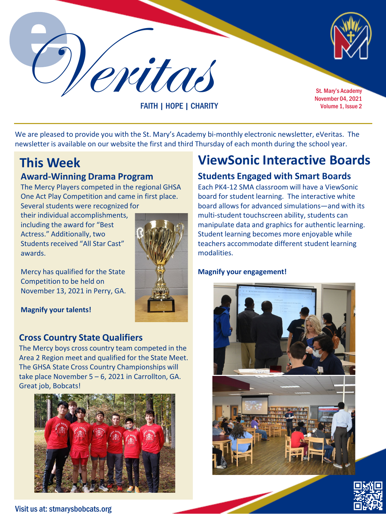Veritas St. Mary's Academy

FAITH | HOPE | CHARITY

November 04, 2021 Volume 1, Issue 2

We are pleased to provide you with the St. Mary's Academy bi-monthly electronic newsletter, eVeritas. The newsletter is available on our website the first and third Thursday of each month during the school year.

# **Award-Winning Drama Program**

The Mercy Players competed in the regional GHSA One Act Play Competition and came in first place. Several students were recognized for

their individual accomplishments, including the award for "Best Actress." Additionally, two Students received "All Star Cast" awards.

Mercy has qualified for the State Competition to be held on November 13, 2021 in Perry, GA.

**Magnify your talents!**

#### **Cross Country State Qualifiers**

The Mercy boys cross country team competed in the Area 2 Region meet and qualified for the State Meet. The GHSA State Cross Country Championships will take place November 5 – 6, 2021 in Carrollton, GA. Great job, Bobcats!



### **This Week ViewSonic Interactive Boards**

### **Students Engaged with Smart Boards**

Each PK4-12 SMA classroom will have a ViewSonic board for student learning. The interactive white board allows for advanced simulations—and with its multi-student touchscreen ability, students can manipulate data and graphics for authentic learning. Student learning becomes more enjoyable while teachers accommodate different student learning modalities.

#### **Magnify your engagement!**





Visit us at: stmarysbobcats.org